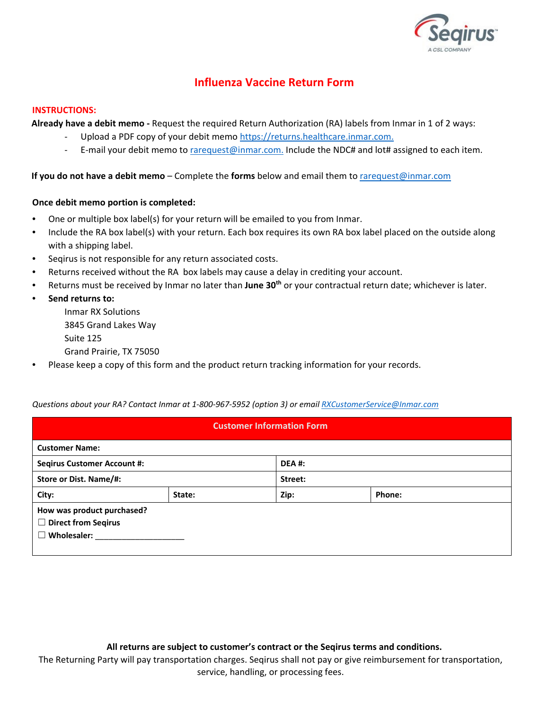

# **Influenza Vaccine Return Form**

#### **INSTRUCTIONS:**

**Already have a debit memo -** Request the required Return Authorization (RA) labels from Inmar in 1 of 2 ways:

- Upload a PDF copy of your debit mem[o https://returns.healthcare.inmar.com.](https://returns.healthcare.inmar.com/)
- E-mail your debit memo to rarequest@inmar.com. Include the NDC# and lot# assigned to each item.

## **If you do not have a debit memo** – Complete the **forms** below and email them to rarequest@inmar.com

## **Once debit memo portion is completed:**

- One or multiple box label(s) for your return will be emailed to you from Inmar.
- Include the RA box label(s) with your return. Each box requires its own RA box label placed on the outside along with a shipping label.
- Seqirus is not responsible for any return associated costs.
- Returns received without the RA box labels may cause a delay in crediting your account.
- Returns must be received by Inmar no later than June 30<sup>th</sup> or your contractual return date; whichever is later.
- **Send returns to:**

Inmar RX Solutions 3845 Grand Lakes Way Suite 125

- Grand Prairie, TX 75050
- Please keep a copy of this form and the product return tracking information for your records.

#### *Questions about your RA? Contact Inmar at 1-800-967-5952 (option 3) or email RXCustomerService@Inmar.com*

| <b>Customer Information Form</b>                                                       |        |              |        |  |  |
|----------------------------------------------------------------------------------------|--------|--------------|--------|--|--|
| <b>Customer Name:</b>                                                                  |        |              |        |  |  |
| <b>Seqirus Customer Account #:</b>                                                     |        | <b>DEA#:</b> |        |  |  |
| Store or Dist. Name/#:                                                                 |        | Street:      |        |  |  |
| City:                                                                                  | State: | Zip:         | Phone: |  |  |
| How was product purchased?<br><b>Direct from Segirus</b><br>$\Box$<br>Wholesaler:<br>□ |        |              |        |  |  |

**All returns are subject to customer's contract or the Seqirus terms and conditions.** 

The Returning Party will pay transportation charges. Seqirus shall not pay or give reimbursement for transportation, service, handling, or processing fees.